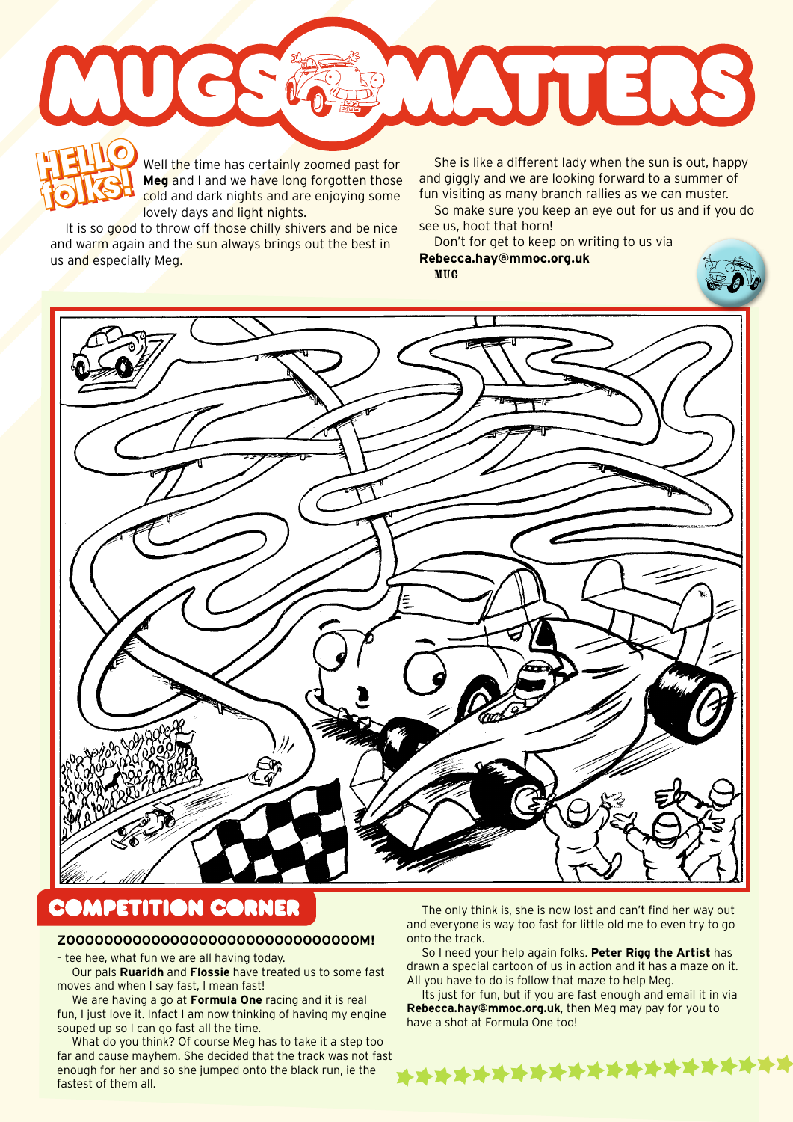WUTERS **HELLO HELLO** »

Well the time has certainly zoomed past for **Meg** and I and we have long forgotten those cold and dark nights and are enjoying some lovely days and light nights.

It is so good to throw off those chilly shivers and be nice and warm again and the sun always brings out the best in us and especially Meg.

**folks!**

Well the time has certainly zoomed past for She is like a different lady when the sun is out, happy<br> **Meg** and I and we have long forgotten those and giggly and we are looking forward to a summer of<br>
cold and dark nights a and giggly and we are looking forward to a summer of fun visiting as many branch rallies as we can muster.

So make sure you keep an eye out for us and if you do see us, hoot that horn!

Don't for get to keep on writing to us via **Rebecca.hay@mmoc.org.uk**





## **COMPETITION CORNER**

## **ZOOOOOOOOOOOOOOOOOOOOOOOOOOOOOOOM!**

– tee hee, what fun we are all having today.

Our pals **Ruaridh** and **Flossie** have treated us to some fast moves and when I say fast, I mean fast!

We are having a go at **Formula One** racing and it is real fun, I just love it. Infact I am now thinking of having my engine souped up so I can go fast all the time.

What do you think? Of course Meg has to take it a step too far and cause mayhem. She decided that the track was not fast enough for her and so she jumped onto the black run, ie the fastest of them all.

The only think is, she is now lost and can't find her way out and everyone is way too fast for little old me to even try to go onto the track.

So I need your help again folks. **Peter Rigg the Artist** has drawn a special cartoon of us in action and it has a maze on it. All you have to do is follow that maze to help Meg.

Its just for fun, but if you are fast enough and email it in via **Rebecca.hay@mmoc.org.uk**, then Meg may pay for you to have a shot at Formula One too!

\*\*\*\*\*\*\*\*\*\*\*\*\*\*\*\*\*\*\*\*